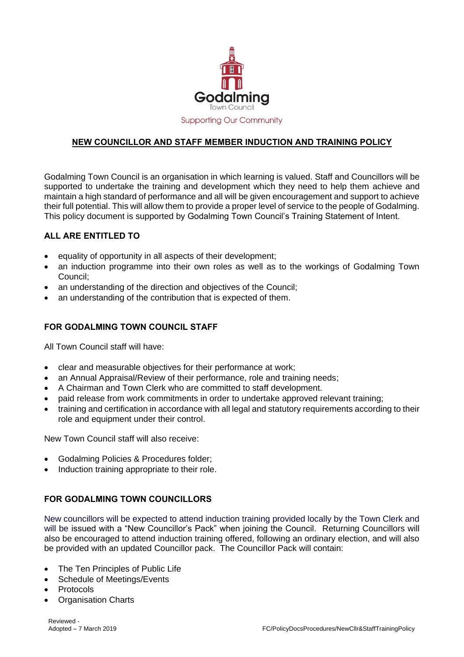

## **NEW COUNCILLOR AND STAFF MEMBER INDUCTION AND TRAINING POLICY**

Godalming Town Council is an organisation in which learning is valued. Staff and Councillors will be supported to undertake the training and development which they need to help them achieve and maintain a high standard of performance and all will be given encouragement and support to achieve their full potential. This will allow them to provide a proper level of service to the people of Godalming. This policy document is supported by Godalming Town Council's Training Statement of Intent.

## **ALL ARE ENTITLED TO**

- $\bullet$  equality of opportunity in all aspects of their development;
- an induction programme into their own roles as well as to the workings of Godalming Town Council;
- an understanding of the direction and objectives of the Council;
- an understanding of the contribution that is expected of them.

## **FOR GODALMING TOWN COUNCIL STAFF**

All Town Council staff will have:

- clear and measurable objectives for their performance at work;
- an Annual Appraisal/Review of their performance, role and training needs;
- A Chairman and Town Clerk who are committed to staff development.
- paid release from work commitments in order to undertake approved relevant training;
- training and certification in accordance with all legal and statutory requirements according to their role and equipment under their control.

New Town Council staff will also receive:

- Godalming Policies & Procedures folder;
- Induction training appropriate to their role.

## **FOR GODALMING TOWN COUNCILLORS**

New councillors will be expected to attend induction training provided locally by the Town Clerk and will be issued with a "New Councillor's Pack" when joining the Council. Returning Councillors will also be encouraged to attend induction training offered, following an ordinary election, and will also be provided with an updated Councillor pack. The Councillor Pack will contain:

- The Ten Principles of Public Life
- Schedule of Meetings/Events
- Protocols
- Organisation Charts